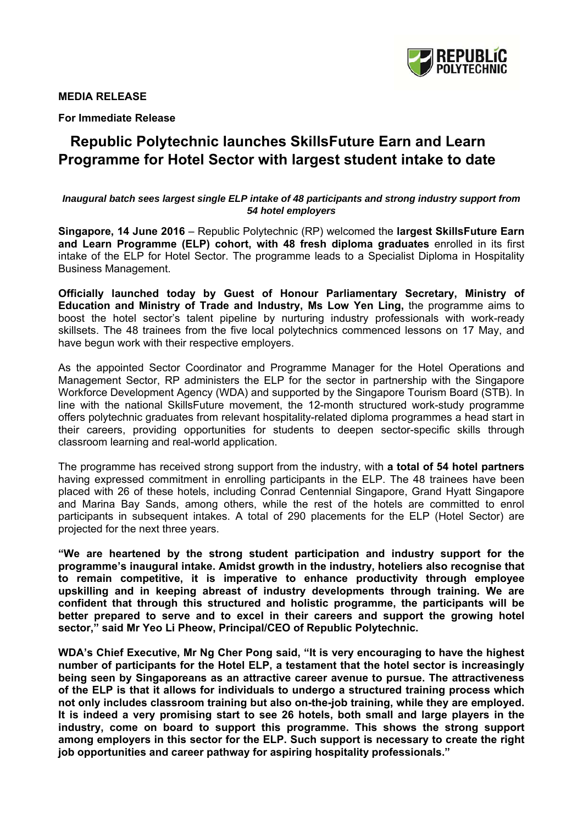

#### **MEDIA RELEASE**

**For Immediate Release** 

# **Republic Polytechnic launches SkillsFuture Earn and Learn Programme for Hotel Sector with largest student intake to date**

#### *Inaugural batch sees largest single ELP intake of 48 participants and strong industry support from 54 hotel employers*

**Singapore, 14 June 2016** – Republic Polytechnic (RP) welcomed the **largest SkillsFuture Earn and Learn Programme (ELP) cohort, with 48 fresh diploma graduates** enrolled in its first intake of the ELP for Hotel Sector. The programme leads to a Specialist Diploma in Hospitality Business Management.

**Officially launched today by Guest of Honour Parliamentary Secretary, Ministry of Education and Ministry of Trade and Industry, Ms Low Yen Ling,** the programme aims to boost the hotel sector's talent pipeline by nurturing industry professionals with work-ready skillsets. The 48 trainees from the five local polytechnics commenced lessons on 17 May, and have begun work with their respective employers.

As the appointed Sector Coordinator and Programme Manager for the Hotel Operations and Management Sector, RP administers the ELP for the sector in partnership with the Singapore Workforce Development Agency (WDA) and supported by the Singapore Tourism Board (STB). In line with the national SkillsFuture movement, the 12-month structured work-study programme offers polytechnic graduates from relevant hospitality-related diploma programmes a head start in their careers, providing opportunities for students to deepen sector-specific skills through classroom learning and real-world application.

The programme has received strong support from the industry, with **a total of 54 hotel partners** having expressed commitment in enrolling participants in the ELP. The 48 trainees have been placed with 26 of these hotels, including Conrad Centennial Singapore, Grand Hyatt Singapore and Marina Bay Sands, among others, while the rest of the hotels are committed to enrol participants in subsequent intakes. A total of 290 placements for the ELP (Hotel Sector) are projected for the next three years.

**"We are heartened by the strong student participation and industry support for the programme's inaugural intake. Amidst growth in the industry, hoteliers also recognise that to remain competitive, it is imperative to enhance productivity through employee upskilling and in keeping abreast of industry developments through training. We are confident that through this structured and holistic programme, the participants will be better prepared to serve and to excel in their careers and support the growing hotel sector," said Mr Yeo Li Pheow, Principal/CEO of Republic Polytechnic.** 

**WDA's Chief Executive, Mr Ng Cher Pong said, "It is very encouraging to have the highest number of participants for the Hotel ELP, a testament that the hotel sector is increasingly being seen by Singaporeans as an attractive career avenue to pursue. The attractiveness of the ELP is that it allows for individuals to undergo a structured training process which not only includes classroom training but also on-the-job training, while they are employed. It is indeed a very promising start to see 26 hotels, both small and large players in the industry, come on board to support this programme. This shows the strong support among employers in this sector for the ELP. Such support is necessary to create the right job opportunities and career pathway for aspiring hospitality professionals."**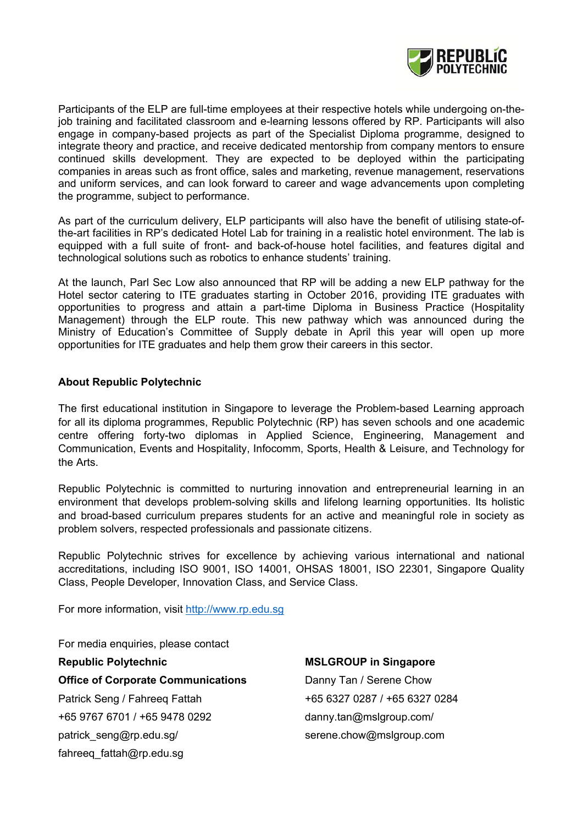

Participants of the ELP are full-time employees at their respective hotels while undergoing on-thejob training and facilitated classroom and e-learning lessons offered by RP. Participants will also engage in company-based projects as part of the Specialist Diploma programme, designed to integrate theory and practice, and receive dedicated mentorship from company mentors to ensure continued skills development. They are expected to be deployed within the participating companies in areas such as front office, sales and marketing, revenue management, reservations and uniform services, and can look forward to career and wage advancements upon completing the programme, subject to performance.

As part of the curriculum delivery, ELP participants will also have the benefit of utilising state-ofthe-art facilities in RP's dedicated Hotel Lab for training in a realistic hotel environment. The lab is equipped with a full suite of front- and back-of-house hotel facilities, and features digital and technological solutions such as robotics to enhance students' training.

At the launch, Parl Sec Low also announced that RP will be adding a new ELP pathway for the Hotel sector catering to ITE graduates starting in October 2016, providing ITE graduates with opportunities to progress and attain a part-time Diploma in Business Practice (Hospitality Management) through the ELP route. This new pathway which was announced during the Ministry of Education's Committee of Supply debate in April this year will open up more opportunities for ITE graduates and help them grow their careers in this sector.

#### **About Republic Polytechnic**

The first educational institution in Singapore to leverage the Problem-based Learning approach for all its diploma programmes, Republic Polytechnic (RP) has seven schools and one academic centre offering forty-two diplomas in Applied Science, Engineering, Management and Communication, Events and Hospitality, Infocomm, Sports, Health & Leisure, and Technology for the Arts.

Republic Polytechnic is committed to nurturing innovation and entrepreneurial learning in an environment that develops problem-solving skills and lifelong learning opportunities. Its holistic and broad-based curriculum prepares students for an active and meaningful role in society as problem solvers, respected professionals and passionate citizens.

Republic Polytechnic strives for excellence by achieving various international and national accreditations, including ISO 9001, ISO 14001, OHSAS 18001, ISO 22301, Singapore Quality Class, People Developer, Innovation Class, and Service Class.

For more information, visit http://www.rp.edu.sg

For media enquiries, please contact

**Office of Corporate Communications** Danny Tan / Serene Chow Patrick Seng / Fahreeq Fattah +65 6327 0287 / +65 6327 0284 +65 9767 6701 / +65 9478 0292 danny.tan@mslgroup.com/ patrick\_seng@rp.edu.sg/ serene.chow@mslgroup.com fahreeq\_fattah@rp.edu.sg

**Republic Polytechnic MSLGROUP in Singapore**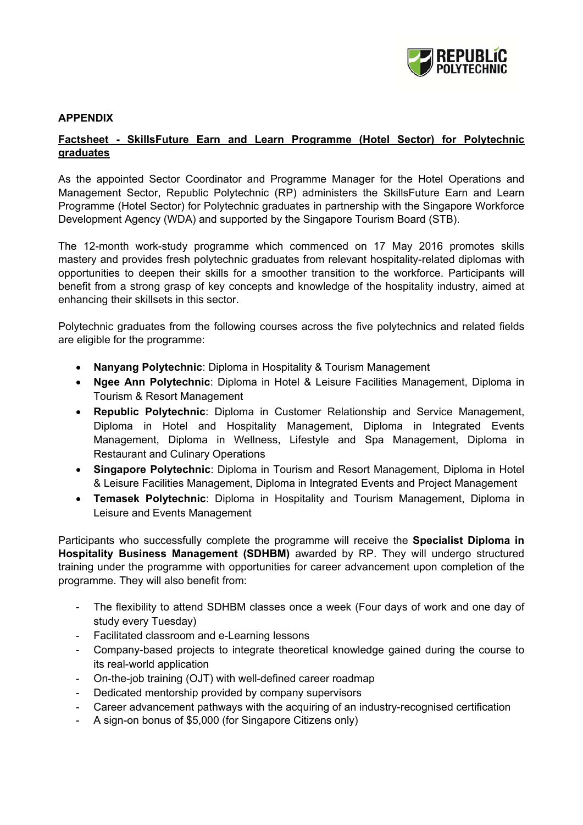

## **APPENDIX**

## **Factsheet - SkillsFuture Earn and Learn Programme (Hotel Sector) for Polytechnic graduates**

As the appointed Sector Coordinator and Programme Manager for the Hotel Operations and Management Sector, Republic Polytechnic (RP) administers the SkillsFuture Earn and Learn Programme (Hotel Sector) for Polytechnic graduates in partnership with the Singapore Workforce Development Agency (WDA) and supported by the Singapore Tourism Board (STB).

The 12-month work-study programme which commenced on 17 May 2016 promotes skills mastery and provides fresh polytechnic graduates from relevant hospitality-related diplomas with opportunities to deepen their skills for a smoother transition to the workforce. Participants will benefit from a strong grasp of key concepts and knowledge of the hospitality industry, aimed at enhancing their skillsets in this sector.

Polytechnic graduates from the following courses across the five polytechnics and related fields are eligible for the programme:

- **Nanyang Polytechnic**: Diploma in Hospitality & Tourism Management
- **Ngee Ann Polytechnic**: Diploma in Hotel & Leisure Facilities Management, Diploma in Tourism & Resort Management
- **Republic Polytechnic**: Diploma in Customer Relationship and Service Management, Diploma in Hotel and Hospitality Management, Diploma in Integrated Events Management, Diploma in Wellness, Lifestyle and Spa Management, Diploma in Restaurant and Culinary Operations
- **Singapore Polytechnic**: Diploma in Tourism and Resort Management, Diploma in Hotel & Leisure Facilities Management, Diploma in Integrated Events and Project Management
- **Temasek Polytechnic**: Diploma in Hospitality and Tourism Management, Diploma in Leisure and Events Management

Participants who successfully complete the programme will receive the **Specialist Diploma in Hospitality Business Management (SDHBM)** awarded by RP. They will undergo structured training under the programme with opportunities for career advancement upon completion of the programme. They will also benefit from:

- The flexibility to attend SDHBM classes once a week (Four days of work and one day of study every Tuesday)
- Facilitated classroom and e-Learning lessons
- Company-based projects to integrate theoretical knowledge gained during the course to its real-world application
- On-the-job training (OJT) with well-defined career roadmap
- Dedicated mentorship provided by company supervisors
- Career advancement pathways with the acquiring of an industry-recognised certification
- A sign-on bonus of \$5,000 (for Singapore Citizens only)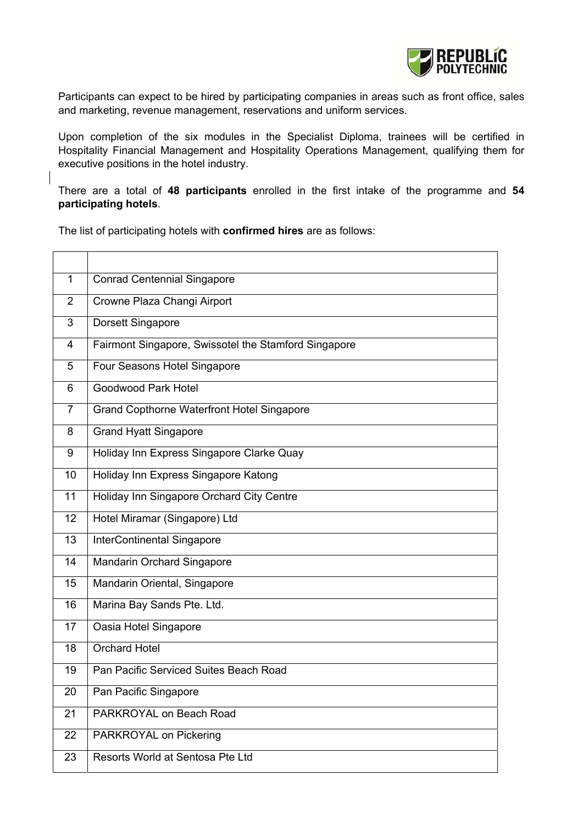

Participants can expect to be hired by participating companies in areas such as front office, sales and marketing, revenue management, reservations and uniform services.

Upon completion of the six modules in the Specialist Diploma, trainees will be certified in Hospitality Financial Management and Hospitality Operations Management, qualifying them for executive positions in the hotel industry.

There are a total of **48 participants** enrolled in the first intake of the programme and **54 participating hotels**.

The list of participating hotels with **confirmed hires** are as follows:

| 1              | <b>Conrad Centennial Singapore</b>                   |
|----------------|------------------------------------------------------|
| 2              | Crowne Plaza Changi Airport                          |
| 3              | Dorsett Singapore                                    |
| $\overline{4}$ | Fairmont Singapore, Swissotel the Stamford Singapore |
| 5              | Four Seasons Hotel Singapore                         |
| 6              | <b>Goodwood Park Hotel</b>                           |
| $\overline{7}$ | <b>Grand Copthorne Waterfront Hotel Singapore</b>    |
| 8              | <b>Grand Hyatt Singapore</b>                         |
| 9              | Holiday Inn Express Singapore Clarke Quay            |
| 10             | Holiday Inn Express Singapore Katong                 |
| 11             | Holiday Inn Singapore Orchard City Centre            |
| 12             | Hotel Miramar (Singapore) Ltd                        |
| 13             | <b>InterContinental Singapore</b>                    |
| 14             | Mandarin Orchard Singapore                           |
| 15             | Mandarin Oriental, Singapore                         |
| 16             | Marina Bay Sands Pte. Ltd.                           |
| 17             | Oasia Hotel Singapore                                |
| 18             | <b>Orchard Hotel</b>                                 |
| 19             | Pan Pacific Serviced Suites Beach Road               |
| 20             | Pan Pacific Singapore                                |
| 21             | PARKROYAL on Beach Road                              |
| 22             | PARKROYAL on Pickering                               |
| 23             | Resorts World at Sentosa Pte Ltd                     |